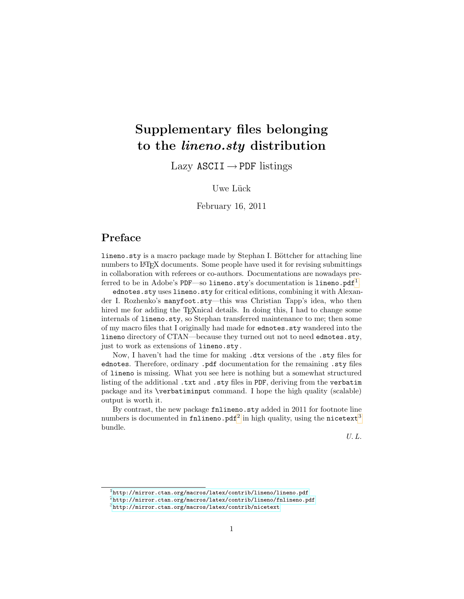# Supplementary files belonging to the lineno.sty distribution

Lazy ASCII  $\rightarrow$  PDF listings

Uwe Lück

February 16, 2011

# Preface

lineno.sty is a macro package made by Stephan I. Böttcher for attaching line numbers to LATEX documents. Some people have used it for revising submittings in collaboration with referees or co-authors. Documentations are nowadays pre-ferred to be in Adobe's PDF—so lineno.sty's documentation is lineno.pdf<sup>[1](#page-0-0)</sup>.

ednotes.sty uses lineno.sty for critical editions, combining it with Alexander I. Rozhenko's manyfoot.sty—this was Christian Tapp's idea, who then hired me for adding the T<sub>E</sub>Xnical details. In doing this, I had to change some internals of lineno.sty, so Stephan transferred maintenance to me; then some of my macro files that I originally had made for ednotes.sty wandered into the lineno directory of CTAN—because they turned out not to need ednotes.sty, just to work as extensions of lineno.sty .

Now, I haven't had the time for making .dtx versions of the .sty files for ednotes. Therefore, ordinary .pdf documentation for the remaining .sty files of lineno is missing. What you see here is nothing but a somewhat structured listing of the additional .txt and .sty files in PDF, deriving from the verbatim package and its \verbatiminput command. I hope the high quality (scalable) output is worth it.

By contrast, the new package findineno.sty added in 2011 for footnote line numbers is documented in <code>fnlineno.pdf $^2$  $^2$ </code> in high quality, using the <code>nicetext $^3$  $^3$ </code> bundle.

U. L.

<span id="page-0-0"></span> $1$ <http://mirror.ctan.org/macros/latex/contrib/lineno/lineno.pdf>

<span id="page-0-1"></span><sup>2</sup><http://mirror.ctan.org/macros/latex/contrib/lineno/fnlineno.pdf>

<span id="page-0-2"></span><sup>3</sup><http://mirror.ctan.org/macros/latex/contrib/nicetext>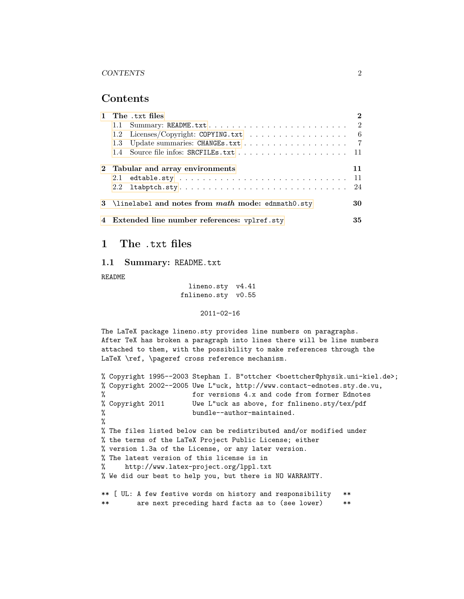#### Contents

| 1 The .txt files                                     |                                  |    |  |  |
|------------------------------------------------------|----------------------------------|----|--|--|
|                                                      |                                  |    |  |  |
|                                                      |                                  |    |  |  |
|                                                      |                                  |    |  |  |
|                                                      |                                  |    |  |  |
|                                                      | 2 Tabular and array environments | 11 |  |  |
|                                                      |                                  |    |  |  |
| 2.2                                                  | $ltabptch. sty24$                |    |  |  |
| 3 \linelabel and notes from math mode: ednmath0.sty  |                                  |    |  |  |
| 4 Extended line number references: vplref.sty<br>35. |                                  |    |  |  |

## <span id="page-1-0"></span>1 The .txt files

#### <span id="page-1-1"></span>1.1 Summary: README.txt

README

lineno.sty v4.41 fnlineno.sty v0.55

2011-02-16

The LaTeX package lineno.sty provides line numbers on paragraphs. After TeX has broken a paragraph into lines there will be line numbers attached to them, with the possibility to make references through the LaTeX \ref, \pageref cross reference mechanism.

```
% Copyright 1995--2003 Stephan I. B"ottcher <br/> <br/>boettcher@physik.uni-kiel.de>;
% Copyright 2002--2005 Uwe L"uck, http://www.contact-ednotes.sty.de.vu,
                      for versions 4.x and code from former Ednotes
% Copyright 2011 Uwe L"uck as above, for fnlineno.sty/tex/pdf
% bundle--author-maintained.
%
% The files listed below can be redistributed and/or modified under
% the terms of the LaTeX Project Public License; either
% version 1.3a of the License, or any later version.
% The latest version of this license is in
% http://www.latex-project.org/lppl.txt
% We did our best to help you, but there is NO WARRANTY.
** [ UL: A few festive words on history and responsibility **
** are next preceding hard facts as to (see lower) **
```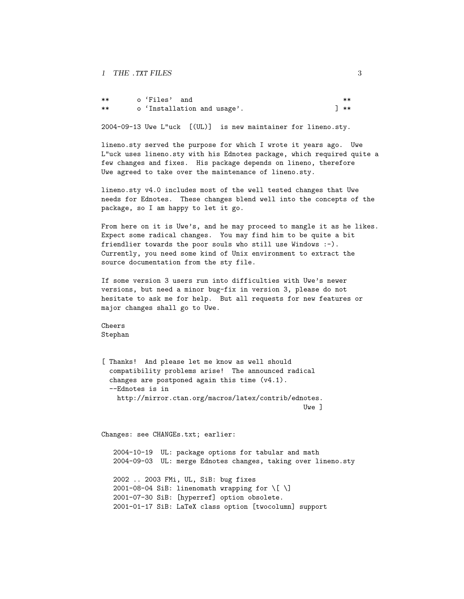| ** | o'Files' and |                             |  | $**$ |
|----|--------------|-----------------------------|--|------|
| ** |              | o 'Installation and usage'. |  | 1 ** |

2004-09-13 Uwe L"uck [(UL)] is new maintainer for lineno.sty.

lineno.sty served the purpose for which I wrote it years ago. Uwe L"uck uses lineno.sty with his Ednotes package, which required quite a few changes and fixes. His package depends on lineno, therefore Uwe agreed to take over the maintenance of lineno.sty.

lineno.sty v4.0 includes most of the well tested changes that Uwe needs for Ednotes. These changes blend well into the concepts of the package, so I am happy to let it go.

From here on it is Uwe's, and he may proceed to mangle it as he likes. Expect some radical changes. You may find him to be quite a bit friendlier towards the poor souls who still use Windows :-). Currently, you need some kind of Unix environment to extract the source documentation from the sty file.

If some version 3 users run into difficulties with Uwe's newer versions, but need a minor bug-fix in version 3, please do not hesitate to ask me for help. But all requests for new features or major changes shall go to Uwe.

Cheers Stephan

[ Thanks! And please let me know as well should compatibility problems arise! The announced radical changes are postponed again this time (v4.1). --Ednotes is in http://mirror.ctan.org/macros/latex/contrib/ednotes. Uwe ]

Changes: see CHANGEs.txt; earlier:

2004-10-19 UL: package options for tabular and math 2004-09-03 UL: merge Ednotes changes, taking over lineno.sty

2002 .. 2003 FMi, UL, SiB: bug fixes 2001-08-04 SiB: linenomath wrapping for  $\{ \}$ 2001-07-30 SiB: [hyperref] option obsolete. 2001-01-17 SiB: LaTeX class option [twocolumn] support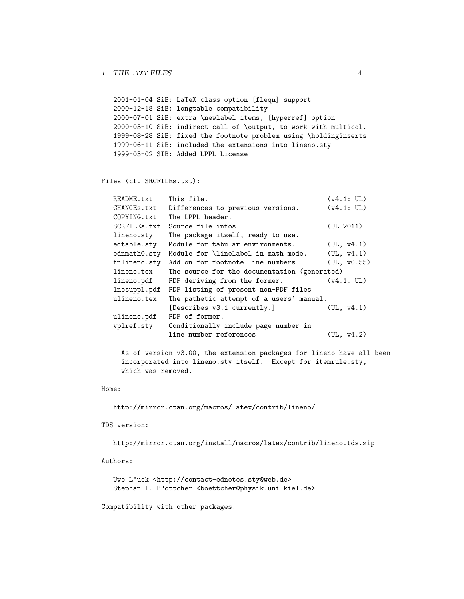```
2001-01-04 SiB: LaTeX class option [fleqn] support
2000-12-18 SiB: longtable compatibility
2000-07-01 SiB: extra \newlabel items, [hyperref] option
2000-03-10 SiB: indirect call of \output, to work with multicol.
1999-08-28 SiB: fixed the footnote problem using \holdinginserts
1999-06-11 SiB: included the extensions into lineno.sty
1999-03-02 SIB: Added LPPL License
```
#### Files (cf. SRCFILEs.txt):

| README.txt   | This file.                                   | (v4.1: UL)  |
|--------------|----------------------------------------------|-------------|
| CHANGEs.txt  | Differences to previous versions.            | (v4.1: UL)  |
| COPYING.txt  | The LPPL header.                             |             |
| SCRFILEs.txt | Source file infos                            | (UL 2011)   |
| lineno.sty   | The package itself, ready to use.            |             |
| edtable.sty  | Module for tabular environments.             | (UL, v4.1)  |
| ednmath0.sty | Module for \linelabel in math mode.          | (UL, v4.1)  |
| fnlineno.sty | Add-on for footnote line numbers             | (UL, v0.55) |
| lineno.tex   | The source for the documentation (generated) |             |
| lineno.pdf   | PDF deriving from the former.                | (v4.1: UL)  |
| lnosuppl.pdf | PDF listing of present non-PDF files         |             |
| ulineno.tex  | The pathetic attempt of a users' manual.     |             |
|              | [Describes v3.1 currently.]                  | (UL, v4.1)  |
| ulineno.pdf  | PDF of former.                               |             |
| vplref.sty   | Conditionally include page number in         |             |
|              | line number references                       | (UL, v4.2)  |

As of version v3.00, the extension packages for lineno have all been incorporated into lineno.sty itself. Except for itemrule.sty, which was removed.

#### Home:

```
http://mirror.ctan.org/macros/latex/contrib/lineno/
```
TDS version:

http://mirror.ctan.org/install/macros/latex/contrib/lineno.tds.zip

Authors:

Uwe L"uck <http://contact-ednotes.sty@web.de> Stephan I. B"ottcher <br/>boettcher@physik.uni-kiel.de>

Compatibility with other packages: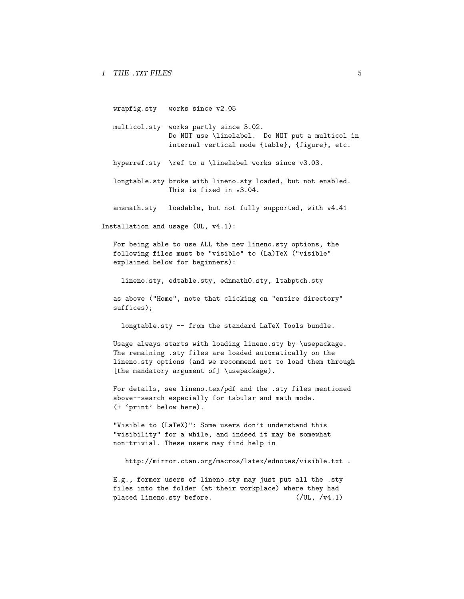wrapfig.sty works since v2.05

- multicol.sty works partly since 3.02. Do NOT use \linelabel. Do NOT put a multicol in internal vertical mode {table}, {figure}, etc.
- hyperref.sty \ref to a \linelabel works since v3.03.
- longtable.sty broke with lineno.sty loaded, but not enabled. This is fixed in v3.04.

amsmath.sty loadable, but not fully supported, with v4.41

Installation and usage (UL, v4.1):

For being able to use ALL the new lineno.sty options, the following files must be "visible" to (La)TeX ("visible" explained below for beginners):

lineno.sty, edtable.sty, ednmath0.sty, ltabptch.sty

as above ("Home", note that clicking on "entire directory" suffices);

longtable.sty -- from the standard LaTeX Tools bundle.

Usage always starts with loading lineno.sty by \usepackage. The remaining .sty files are loaded automatically on the lineno.sty options (and we recommend not to load them through [the mandatory argument of] \usepackage).

For details, see lineno.tex/pdf and the .sty files mentioned above--search especially for tabular and math mode. (+ 'print' below here).

"Visible to (LaTeX)": Some users don't understand this "visibility" for a while, and indeed it may be somewhat non-trivial. These users may find help in

http://mirror.ctan.org/macros/latex/ednotes/visible.txt .

E.g., former users of lineno.sty may just put all the .sty files into the folder (at their workplace) where they had placed lineno.sty before. (/UL, /v4.1)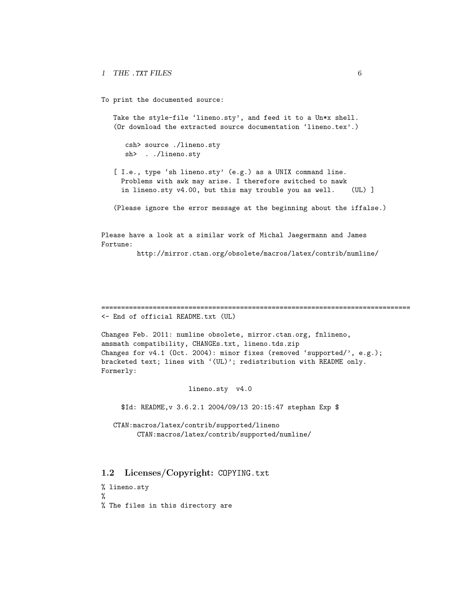To print the documented source:

Take the style-file 'lineno.sty', and feed it to a Un\*x shell. (Or download the extracted source documentation 'lineno.tex'.)

csh> source ./lineno.sty sh> . ./lineno.sty

[ I.e., type 'sh lineno.sty' (e.g.) as a UNIX command line. Problems with awk may arise. I therefore switched to nawk in lineno.sty v4.00, but this may trouble you as well. (UL) ]

(Please ignore the error message at the beginning about the iffalse.)

Please have a look at a similar work of Michal Jaegermann and James Fortune:

http://mirror.ctan.org/obsolete/macros/latex/contrib/numline/

============================================================================== <- End of official README.txt (UL)

Changes Feb. 2011: numline obsolete, mirror.ctan.org, fnlineno, amsmath compatibility, CHANGEs.txt, lineno.tds.zip Changes for v4.1 (Oct. 2004): minor fixes (removed 'supported/', e.g.); bracketed text; lines with '(UL)'; redistribution with README only. Formerly:

lineno.sty v4.0

\$Id: README,v 3.6.2.1 2004/09/13 20:15:47 stephan Exp \$

CTAN:macros/latex/contrib/supported/lineno CTAN:macros/latex/contrib/supported/numline/

<span id="page-5-0"></span>1.2 Licenses/Copyright: COPYING.txt

% lineno.sty %

% The files in this directory are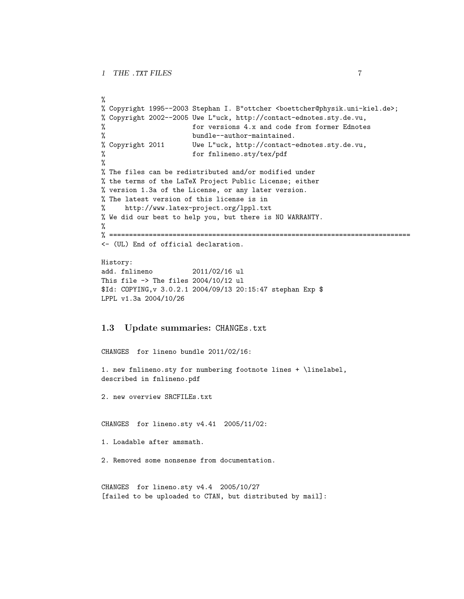```
%
% Copyright 1995--2003 Stephan I. B"ottcher <br/>boettcher@physik.uni-kiel.de>;
% Copyright 2002--2005 Uwe L"uck, http://contact-ednotes.sty.de.vu,
% for versions 4.x and code from former Ednotes
% bundle--author-maintained.
% Copyright 2011 Uwe L"uck, http://contact-ednotes.sty.de.vu,
% for fnlineno.sty/tex/pdf
%
% The files can be redistributed and/or modified under
% the terms of the LaTeX Project Public License; either
% version 1.3a of the License, or any later version.
% The latest version of this license is in
% http://www.latex-project.org/lppl.txt
% We did our best to help you, but there is NO WARRANTY.
%
% ============================================================================
<- (UL) End of official declaration.
History:
add. fnlineno 2011/02/16 ul
This file \rightarrow The files 2004/10/12 ul
```

```
$Id: COPYING,v 3.0.2.1 2004/09/13 20:15:47 stephan Exp $
LPPL v1.3a 2004/10/26
```
#### <span id="page-6-0"></span>1.3 Update summaries: CHANGEs.txt

```
CHANGES for lineno bundle 2011/02/16:
1. new fnlineno.sty for numbering footnote lines + \linelabel,
described in fnlineno.pdf
```
2. new overview SRCFILEs.txt

CHANGES for lineno.sty v4.41 2005/11/02:

```
1. Loadable after amsmath.
```
2. Removed some nonsense from documentation.

```
CHANGES for lineno.sty v4.4 2005/10/27
[failed to be uploaded to CTAN, but distributed by mail]:
```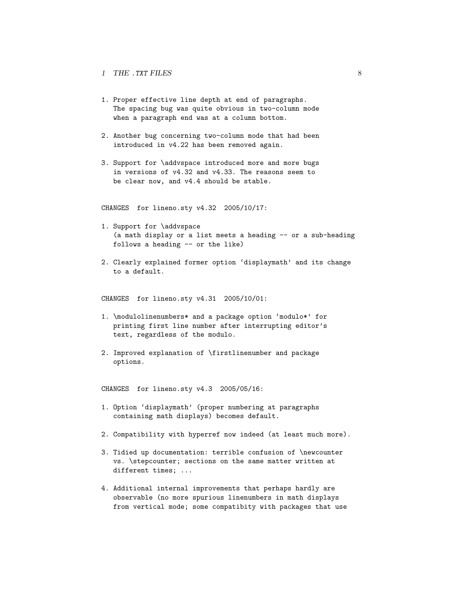- 1. Proper effective line depth at end of paragraphs. The spacing bug was quite obvious in two-column mode when a paragraph end was at a column bottom.
- 2. Another bug concerning two-column mode that had been introduced in v4.22 has been removed again.
- 3. Support for \addvspace introduced more and more bugs in versions of v4.32 and v4.33. The reasons seem to be clear now, and v4.4 should be stable.

CHANGES for lineno.sty v4.32 2005/10/17:

- 1. Support for \addvspace (a math display or a list meets a heading -- or a sub-heading follows a heading -- or the like)
- 2. Clearly explained former option 'displaymath' and its change to a default.

CHANGES for lineno.sty v4.31 2005/10/01:

- 1. \modulolinenumbers\* and a package option 'modulo\*' for printing first line number after interrupting editor's text, regardless of the modulo.
- 2. Improved explanation of \firstlinenumber and package options.

CHANGES for lineno.sty v4.3 2005/05/16:

- 1. Option 'displaymath' (proper numbering at paragraphs containing math displays) becomes default.
- 2. Compatibility with hyperref now indeed (at least much more).
- 3. Tidied up documentation: terrible confusion of \newcounter vs. \stepcounter; sections on the same matter written at different times; ...
- 4. Additional internal improvements that perhaps hardly are observable (no more spurious linenumbers in math displays from vertical mode; some compatibity with packages that use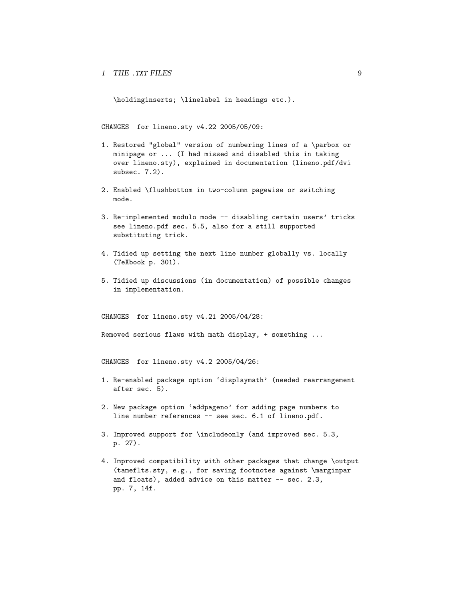\holdinginserts; \linelabel in headings etc.).

CHANGES for lineno.sty v4.22 2005/05/09:

- 1. Restored "global" version of numbering lines of a \parbox or minipage or ... (I had missed and disabled this in taking over lineno.sty), explained in documentation (lineno.pdf/dvi subsec. 7.2).
- 2. Enabled \flushbottom in two-column pagewise or switching mode.
- 3. Re-implemented modulo mode -- disabling certain users' tricks see lineno.pdf sec. 5.5, also for a still supported substituting trick.
- 4. Tidied up setting the next line number globally vs. locally (TeXbook p. 301).
- 5. Tidied up discussions (in documentation) of possible changes in implementation.

CHANGES for lineno.sty v4.21 2005/04/28:

Removed serious flaws with math display, + something ...

CHANGES for lineno.sty v4.2 2005/04/26:

- 1. Re-enabled package option 'displaymath' (needed rearrangement after sec. 5).
- 2. New package option 'addpageno' for adding page numbers to line number references -- see sec. 6.1 of lineno.pdf.
- 3. Improved support for \includeonly (and improved sec. 5.3, p. 27).
- 4. Improved compatibility with other packages that change \output (tameflts.sty, e.g., for saving footnotes against \marginpar and floats), added advice on this matter -- sec. 2.3, pp. 7, 14f.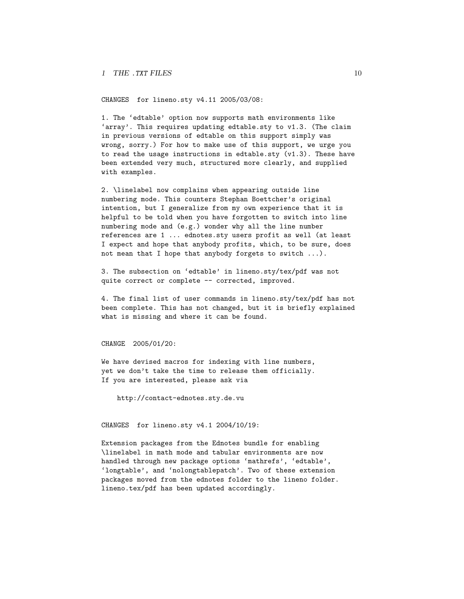CHANGES for lineno.sty v4.11 2005/03/08:

1. The 'edtable' option now supports math environments like 'array'. This requires updating edtable.sty to v1.3. (The claim in previous versions of edtable on this support simply was wrong, sorry.) For how to make use of this support, we urge you to read the usage instructions in edtable.sty (v1.3). These have been extended very much, structured more clearly, and supplied with examples.

2. \linelabel now complains when appearing outside line numbering mode. This counters Stephan Boettcher's original intention, but I generalize from my own experience that it is helpful to be told when you have forgotten to switch into line numbering mode and (e.g.) wonder why all the line number references are 1 ... ednotes.sty users profit as well (at least I expect and hope that anybody profits, which, to be sure, does not mean that I hope that anybody forgets to switch ...).

3. The subsection on 'edtable' in lineno.sty/tex/pdf was not quite correct or complete -- corrected, improved.

4. The final list of user commands in lineno.sty/tex/pdf has not been complete. This has not changed, but it is briefly explained what is missing and where it can be found.

CHANGE 2005/01/20:

We have devised macros for indexing with line numbers, yet we don't take the time to release them officially. If you are interested, please ask via

http://contact-ednotes.sty.de.vu

CHANGES for lineno.sty v4.1 2004/10/19:

Extension packages from the Ednotes bundle for enabling \linelabel in math mode and tabular environments are now handled through new package options 'mathrefs', 'edtable', 'longtable', and 'nolongtablepatch'. Two of these extension packages moved from the ednotes folder to the lineno folder. lineno.tex/pdf has been updated accordingly.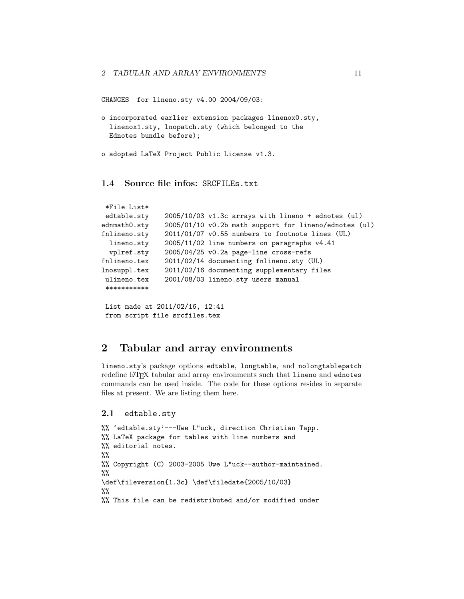```
CHANGES for lineno.sty v4.00 2004/09/03:
```

```
o incorporated earlier extension packages linenox0.sty,
  linenox1.sty, lnopatch.sty (which belonged to the
 Ednotes bundle before);
```
o adopted LaTeX Project Public License v1.3.

### <span id="page-10-0"></span>1.4 Source file infos: SRCFILEs.txt

```
*File List*
edtable.sty 2005/10/03 v1.3c arrays with lineno + ednotes (ul)
ednmath0.sty 2005/01/10 v0.2b math support for lineno/ednotes (ul)
fnlineno.sty 2011/01/07 v0.55 numbers to footnote lines (UL)
 lineno.sty 2005/11/02 line numbers on paragraphs v4.41
 vplref.sty 2005/04/25 v0.2a page-line cross-refs
fnlineno.tex 2011/02/14 documenting fnlineno.sty (UL)
lnosuppl.tex 2011/02/16 documenting supplementary files
ulineno.tex 2001/08/03 lineno.sty users manual
 ***********
```

```
List made at 2011/02/16, 12:41
from script file srcfiles.tex
```
## <span id="page-10-1"></span>2 Tabular and array environments

lineno.sty's package options edtable, longtable, and nolongtablepatch redefine LAT<sub>E</sub>X tabular and array environments such that lineno and ednotes commands can be used inside. The code for these options resides in separate files at present. We are listing them here.

```
2.1 edtable.sty
```

```
%% 'edtable.sty'---Uwe L"uck, direction Christian Tapp.
%% LaTeX package for tables with line numbers and
%% editorial notes.
\%%% Copyright (C) 2003-2005 Uwe L"uck--author-maintained.
\frac{9}{2}\def\fileversion{1.3c} \def\filedate{2005/10/03}
\frac{9}{2}%% This file can be redistributed and/or modified under
```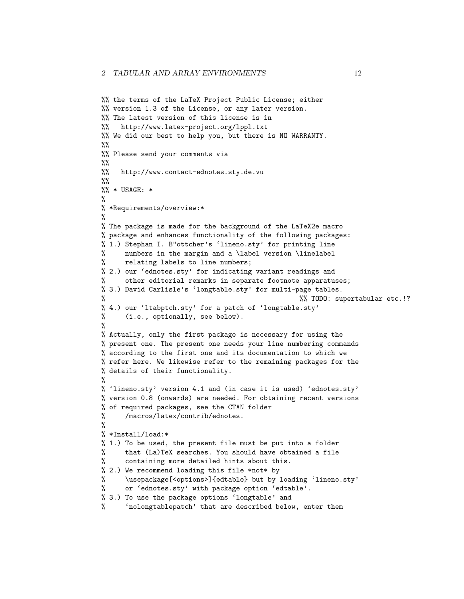```
%% the terms of the LaTeX Project Public License; either
%% version 1.3 of the License, or any later version.
%% The latest version of this license is in
%% http://www.latex-project.org/lppl.txt
%% We did our best to help you, but there is NO WARRANTY.
\frac{9}{6}%% Please send your comments via
\frac{9}{2}%% http://www.contact-ednotes.sty.de.vu
\frac{9}{2}\frac{90}{8} * USAGE: *
%
% *Requirements/overview:*
%
% The package is made for the background of the LaTeX2e macro
% package and enhances functionality of the following packages:
% 1.) Stephan I. B"ottcher's 'lineno.sty' for printing line
% numbers in the margin and a \label version \linelabel
% relating labels to line numbers;
% 2.) our 'ednotes.sty' for indicating variant readings and
% other editorial remarks in separate footnote apparatuses;
% 3.) David Carlisle's 'longtable.sty' for multi-page tables.
                                                  %% TODO: supertabular etc.!?
% 4.) our 'ltabptch.sty' for a patch of 'longtable.sty'
% (i.e., optionally, see below).
%
% Actually, only the first package is necessary for using the
% present one. The present one needs your line numbering commands
% according to the first one and its documentation to which we
% refer here. We likewise refer to the remaining packages for the
% details of their functionality.
%
% 'lineno.sty' version 4.1 and (in case it is used) 'ednotes.sty'
% version 0.8 (onwards) are needed. For obtaining recent versions
% of required packages, see the CTAN folder
% /macros/latex/contrib/ednotes.
%
% *Install/load:*
% 1.) To be used, the present file must be put into a folder
% that (La)TeX searches. You should have obtained a file
% containing more detailed hints about this.
% 2.) We recommend loading this file *not* by
% \usepackage[<options>]{edtable} but by loading 'lineno.sty'
% or 'ednotes.sty' with package option 'edtable'.
% 3.) To use the package options 'longtable' and
% 'nolongtablepatch' that are described below, enter them
```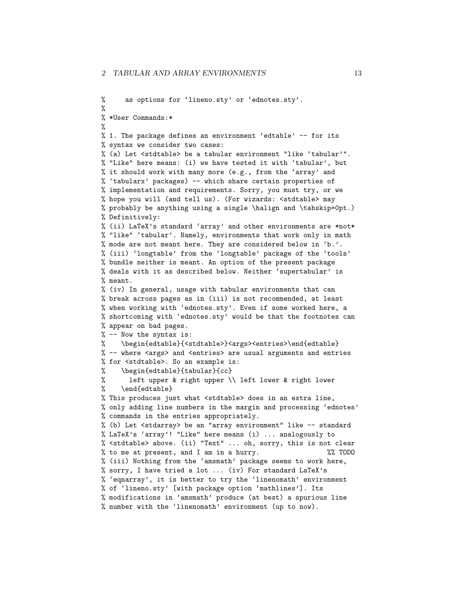```
% as options for 'lineno.sty' or 'ednotes.sty'.
%
% *User Commands:*
%
% 1. The package defines an environment 'edtable' -- for its
% syntax we consider two cases:
% (a) Let <stdtable> be a tabular environment "like 'tabular'".
% "Like" here means: (i) we have tested it with 'tabular', but
% it should work with many more (e.g., from the 'array' and
% 'tabularx' packages) -- which share certain properties of
% implementation and requirements. Sorry, you must try, or we
% hope you will (and tell us). (For wizards: <stdtable> may
% probably be anything using a single \halign and \tabskip=0pt.)
% Definitively:
% (ii) LaTeX's standard 'array' and other environments are *not*
% "like" 'tabular'. Namely, environments that work only in math
% mode are not meant here. They are considered below in 'b.'.
% (iii) 'longtable' from the 'longtable' package of the 'tools'
% bundle neither is meant. An option of the present package
% deals with it as described below. Neither 'supertabular' is
% meant.
% (iv) In general, usage with tabular environments that can
% break across pages as in (iii) is not recommended, at least
% when working with 'ednotes.sty'. Even if some worked here, a
% shortcoming with 'ednotes.sty' would be that the footnotes can
% appear on bad pages.
% -- Now the syntax is:
% \begin{edtable}{<stdtable>}<args><entries>\end{edtable}
% -- where <args> and <entries> are usual arguments and entries
% for <stdtable>. So an example is:
% \begin{edtable}{tabular}{cc}
% left upper & right upper \\ left lower & right lower
% \end{edtable}
% This produces just what <stdtable> does in an extra line,
% only adding line numbers in the margin and processing 'ednotes'
% commands in the entries appropriately.
% (b) Let <stdarray> be an "array environment" like -- standard
% LaTeX's 'array'! "Like" here means (i) ... analogously to
% <stdtable> above. (ii) "Text" ... oh, sorry, this is not clear
% to me at present, and I am in a hurry. \frac{1}{2} / \frac{1}{2} TODO
% (iii) Nothing from the 'amsmath' package seems to work here,
% sorry, I have tried a lot ... (iv) For standard LaTeX's
% 'eqnarray', it is better to try the 'linenomath' environment
% of 'lineno.sty' [with package option 'mathlines']. Its
% modifications in 'amsmath' produce (at best) a spurious line
% number with the 'linenomath' environment (up to now).
```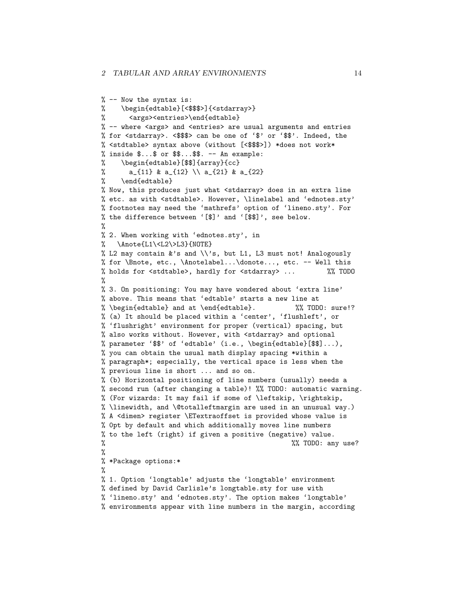```
% -- Now the syntax is:
% \begin{edtable}[<$$$>]{<stdarray>}
% <args><entries>\end{edtable}
% -- where <args> and <entries> are usual arguments and entries
% for <stdarray>. <$$$> can be one of '$' or '$$'. Indeed, the
% <stdtable> syntax above (without [<$$$>]) *does not work*
% inside $...$ or $$...$$. -- An example:
% \begin{edtable}[$$]{array}{cc}
% a_{11} & a_{12} \\ a_{21} & a_{22}
% \end{edtable}
% Now, this produces just what <stdarray> does in an extra line
% etc. as with <stdtable>. However, \linelabel and 'ednotes.sty'
% footnotes may need the 'mathrefs' option of 'lineno.sty'. For
% the difference between '[$]' and '[$$]', see below.
%
% 2. When working with 'ednotes.sty', in
% \Anote{L1\<L2\>L3}{NOTE}
% L2 may contain k's and \setminus's, but L1, L3 must not! Analogously
% for \Bnote, etc., \Anotelabel...\donote..., etc. -- Well this
% holds for <stdtable>, hardly for <stdarray> ... %% TODO
%
% 3. On positioning: You may have wondered about 'extra line'
% above. This means that 'edtable' starts a new line at
% \begin{edtable} and at \end{edtable}. %% TODO: sure!?
% (a) It should be placed within a 'center', 'flushleft', or
% 'flushright' environment for proper (vertical) spacing, but
% also works without. However, with <stdarray> and optional
% parameter '$$' of 'edtable' (i.e., \begin{edtable}[$$]...),
% you can obtain the usual math display spacing *within a
% paragraph*; especially, the vertical space is less when the
% previous line is short ... and so on.
% (b) Horizontal positioning of line numbers (usually) needs a
% second run (after changing a table)! %% TODO: automatic warning.
% (For wizards: It may fail if some of \leftskip, \rightskip,
% \linewidth, and \@totalleftmargin are used in an unusual way.)
% A <dimen> register \ETextraoffset is provided whose value is
% 0pt by default and which additionally moves line numbers
% to the left (right) if given a positive (negative) value.
% \% TODO: any use?
%
% *Package options:*
%
% 1. Option 'longtable' adjusts the 'longtable' environment
% defined by David Carlisle's longtable.sty for use with
% 'lineno.sty' and 'ednotes.sty'. The option makes 'longtable'
% environments appear with line numbers in the margin, according
```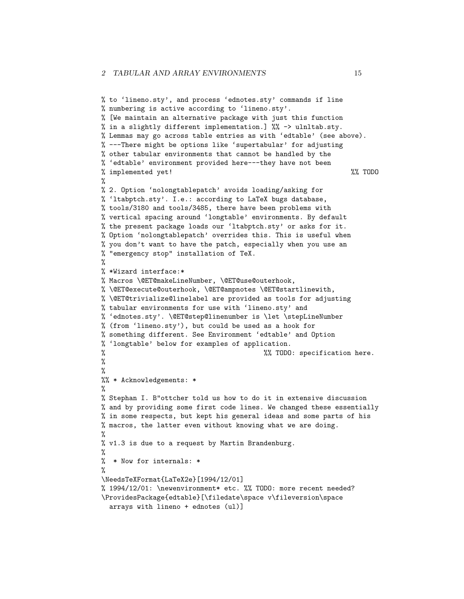```
% to 'lineno.sty', and process 'ednotes.sty' commands if line
% numbering is active according to 'lineno.sty'.
% [We maintain an alternative package with just this function
% in a slightly different implementation.] %% -> ulnltab.sty.
% Lemmas may go across table entries as with 'edtable' (see above).
% ---There might be options like 'supertabular' for adjusting
% other tabular environments that cannot be handled by the
% 'edtable' environment provided here---they have not been
% implemented yet! %% TODO
%
% 2. Option 'nolongtablepatch' avoids loading/asking for
% 'ltabptch.sty'. I.e.: according to LaTeX bugs database,
% tools/3180 and tools/3485, there have been problems with
% vertical spacing around 'longtable' environments. By default
% the present package loads our 'ltabptch.sty' or asks for it.
% Option 'nolongtablepatch' overrides this. This is useful when
% you don't want to have the patch, especially when you use an
% "emergency stop" installation of TeX.
%
% *Wizard interface:*
% Macros \@ET@makeLineNumber, \@ET@use@outerhook,
% \@ET@execute@outerhook, \@ET@ampnotes \@ET@startlinewith,
% \@ET@trivialize@linelabel are provided as tools for adjusting
% tabular environments for use with 'lineno.sty' and
% 'ednotes.sty'. \@ET@step@linenumber is \let \stepLineNumber
% (from 'lineno.sty'), but could be used as a hook for
% something different. See Environment 'edtable' and Option
% 'longtable' below for examples of application.
% %% TODO: specification here.
%
%
%% * Acknowledgements: *
%
% Stephan I. B"ottcher told us how to do it in extensive discussion
% and by providing some first code lines. We changed these essentially
% in some respects, but kept his general ideas and some parts of his
% macros, the latter even without knowing what we are doing.
\frac{9}{2}% v1.3 is due to a request by Martin Brandenburg.
%
% * Now for internals: *
%
\NeedsTeXFormat{LaTeX2e}[1994/12/01]
% 1994/12/01: \newenvironment* etc. %% TODO: more recent needed?
\ProvidesPackage{edtable}[\filedate\space v\fileversion\space
  arrays with lineno + ednotes (ul)]
```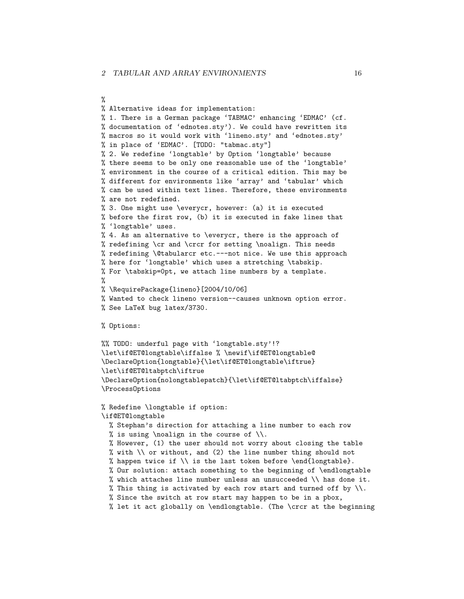%

% Alternative ideas for implementation: % 1. There is a German package 'TABMAC' enhancing 'EDMAC' (cf. % documentation of 'ednotes.sty'). We could have rewritten its % macros so it would work with 'lineno.sty' and 'ednotes.sty' % in place of 'EDMAC'. [TODO: "tabmac.sty"] % 2. We redefine 'longtable' by Option 'longtable' because % there seems to be only one reasonable use of the 'longtable' % environment in the course of a critical edition. This may be % different for environments like 'array' and 'tabular' which % can be used within text lines. Therefore, these environments % are not redefined. % 3. One might use \everycr, however: (a) it is executed % before the first row, (b) it is executed in fake lines that % 'longtable' uses. % 4. As an alternative to \everycr, there is the approach of % redefining \cr and \crcr for setting \noalign. This needs % redefining \@tabularcr etc.---not nice. We use this approach % here for 'longtable' which uses a stretching \tabskip. % For \tabskip=0pt, we attach line numbers by a template. % % \RequirePackage{lineno}[2004/10/06] % Wanted to check lineno version--causes unknown option error. % See LaTeX bug latex/3730. % Options: %% TODO: underful page with 'longtable.sty'!? \let\if@ET@longtable\iffalse % \newif\if@ET@longtable@ \DeclareOption{longtable}{\let\if@ET@longtable\iftrue} \let\if@ET@ltabptch\iftrue \DeclareOption{nolongtablepatch}{\let\if@ET@ltabptch\iffalse} \ProcessOptions % Redefine \longtable if option: \if@ET@longtable % Stephan's direction for attaching a line number to each row % is using \noalign in the course of  $\setminus$ . % However, (1) the user should not worry about closing the table % with  $\setminus$  or without, and (2) the line number thing should not % happen twice if  $\setminus$  is the last token before  $\end{aligned}$ . % Our solution: attach something to the beginning of \endlongtable % which attaches line number unless an unsucceeded  $\setminus$  has done it. % This thing is activated by each row start and turned off by  $\setminus\setminus$ . % Since the switch at row start may happen to be in a pbox, % let it act globally on \endlongtable. (The \crcr at the beginning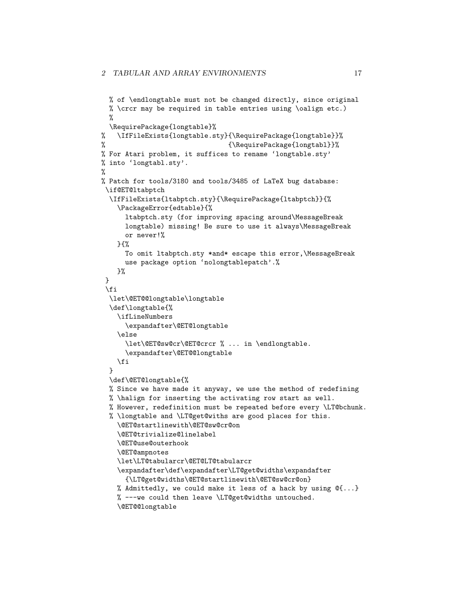```
% of \endlongtable must not be changed directly, since original
 % \crcr may be required in table entries using \oalign etc.)
 %
 \RequirePackage{longtable}%
% \IfFileExists{longtable.sty}{\RequirePackage{longtable}}%
%
% For Atari problem, it suffices to rename 'longtable.sty'
% into 'longtabl.sty'.
%
% Patch for tools/3180 and tools/3485 of LaTeX bug database:
\if@ET@ltabptch
 \IfFileExists{ltabptch.sty}{\RequirePackage{ltabptch}}{%
   \PackageError{edtable}{%
     ltabptch.sty (for improving spacing around\MessageBreak
     longtable) missing! Be sure to use it always\MessageBreak
     or never!%
   }{%
     To omit ltabptch.sty *and* escape this error,\MessageBreak
     use package option 'nolongtablepatch'.%
   }%
}
 \fi
 \let\@ET@@longtable\longtable
 \def\longtable{%
   \ifLineNumbers
     \expandafter\@ET@longtable
    \else
      \let\@ET@sw@cr\@ET@crcr % ... in \endlongtable.
      \expandafter\@ET@@longtable
   \fi
 }
 \def\@ET@longtable{%
 % Since we have made it anyway, we use the method of redefining
 % \halign for inserting the activating row start as well.
 % However, redefinition must be repeated before every \LT@bchunk.
 % \longtable and \LT@get@withs are good places for this.
   \@ET@startlinewith\@ET@sw@cr@on
    \@ET@trivialize@linelabel
    \@ET@use@outerhook
   \@ET@ampnotes
   \let\LT@tabularcr\@ET@LT@tabularcr
   \expandafter\def\expandafter\LT@get@widths\expandafter
     {\LT@get@widths\@ET@startlinewith\@ET@sw@cr@on}
   % Admittedly, we could make it less of a hack by using \mathfrak{C}\{\ldots\}% ---we could then leave \LT@get@widths untouched.
   \@ET@@longtable
```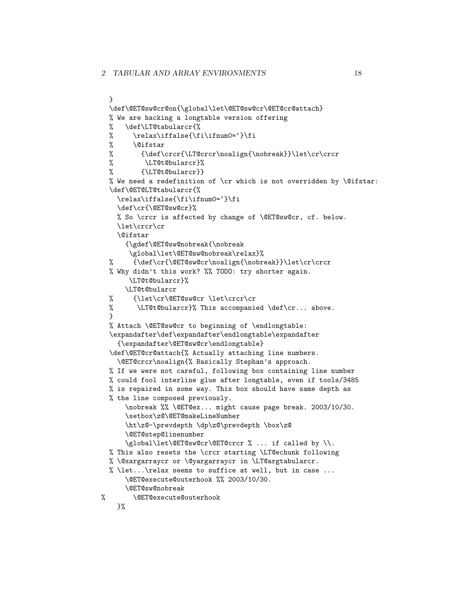```
}
  \def\@ET@sw@cr@on{\global\let\@ET@sw@cr\@ET@cr@attach}
 % We are hacking a longtable version offering
 % \def\LT@tabularcr{%
 \frac{\right\{ \ifmmode{\hskip.6pt}\else{thm}{\fi}\fi} \quad \text{relax}\ifmm{align}% \@ifstar
 % {\def\crcr{\LT@crcr\noalign{\nobreak}}\let\cr\crcr
 % \LT@t@bularcr}%
 % {\LT@t@bularcr}}
 % We need a redefinition of \cr which is not overridden by \mathcal{C} ifstar:
  \def\@ET@LT@tabularcr{%
    \relax\iffalse{\fi\ifnum0='}\fi
    \def\cr{\@ET@sw@cr}%
    % So \crcr is affected by change of \@ET@sw@cr, cf. below.
   \let\crcr\cr
    \@ifstar
      {\gdef\@ET@sw@nobreak{\nobreak
       \global\let\@ET@sw@nobreak\relax}%
  % {\def\cr{\@ET@sw@cr\noalign{\nobreak}}\let\cr\crcr
  % Why didn't this work? %% TODO: try shorter again.
       \LT@t@bularcr}%
      \LT@t@bularcr
 % {\let\cr\@ET@sw@cr \let\crcr\cr
 % \Upsilon \LT@t@bularcr}% This accompanied \def\cr... above.
  \mathbf{r}% Attach \@ET@sw@cr to beginning of \endlongtable:
  \expandafter\def\expandafter\endlongtable\expandafter
    {\expandafter\@ET@sw@cr\endlongtable}
  \def\@ET@cr@attach{% Actually attaching line numbers.
    \@ET@crcr\noalign{% Basically Stephan's approach.
  % If we were not careful, following box containing line number
 % could fool interline glue after longtable, even if tools/3485
  % is repaired in some way. This box should have same depth as
 % the line composed previously.
      \nobreak %% \@ET@ex... might cause page break. 2003/10/30.
      \setbox\z@\@ET@makeLineNumber
      \ht\z@-\prevdepth \dp\z@\prevdepth \box\z@
      \@ET@step@linenumber
      \global\let\@ET@sw@cr\@ET@crcr % ... if called by \\.
 % This also resets the \crcr starting \LT@echunk following
  % \@xargarraycr or \@yargarraycr in \LT@argtabularcr.
 % \let...\relax seems to suffice at well, but in case ...
      \@ET@execute@outerhook %% 2003/10/30.
      \@ET@sw@nobreak
% \@ET@execute@outerhook
    }%
```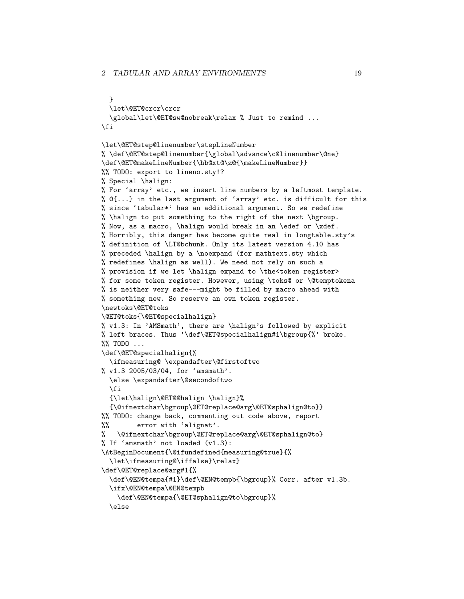```
}
  \let\@ET@crcr\crcr
  \global\let\@ET@sw@nobreak\relax % Just to remind ...
\fi
\let\@ET@step@linenumber\stepLineNumber
% \def\@ET@step@linenumber{\global\advance\c@linenumber\@ne}
\def\@ET@makeLineNumber{\hb@xt@\z@{\makeLineNumber}}
%% TODO: export to lineno.sty!?
% Special \halign:
% For 'array' etc., we insert line numbers by a leftmost template.
% @{...} in the last argument of 'array' etc. is difficult for this
% since 'tabular*' has an additional argument. So we redefine
% \halign to put something to the right of the next \bgroup.
% Now, as a macro, \halign would break in an \edef or \xdef.
% Horribly, this danger has become quite real in longtable.sty's
% definition of \LT@bchunk. Only its latest version 4.10 has
% preceded \halign by a \noexpand (for mathtext.sty which
% redefines \halign as well). We need not rely on such a
% provision if we let \halign expand to \the<token register>
% for some token register. However, using \toks@ or \@temptokena
% is neither very safe---might be filled by macro ahead with
% something new. So reserve an own token register.
\newtoks\@ET@toks
\@ET@toks{\@ET@specialhalign}
% v1.3: In 'AMSmath', there are \halign's followed by explicit
% left braces. Thus '\def\@ET@specialhalign#1\bgroup{%' broke.
%% TODO ...
\def\@ET@specialhalign{%
  \ifmeasuring@ \expandafter\@firstoftwo
% v1.3 2005/03/04, for 'amsmath'.
  \else \expandafter\@secondoftwo
  \fi
  {\let\halign\@ET@@halign \halign}%
  {\@ifnextchar\bgroup\@ET@replace@arg\@ET@sphalign@to}}
%% TODO: change back, commenting out code above, report
%% error with 'alignat'.
% \@ifnextchar\bgroup\@ET@replace@arg\@ET@sphalign@to}
% If 'amsmath' not loaded (v1.3):
\AtBeginDocument{\@ifundefined{measuring@true}{%
  \let\ifmeasuring@\iffalse}\relax}
\def\@ET@replace@arg#1{%
  \def\@EN@tempa{#1}\def\@EN@tempb{\bgroup}% Corr. after v1.3b.
  \ifx\@EN@tempa\@EN@tempb
    \def\@EN@tempa{\@ET@sphalign@to\bgroup}%
  \else
```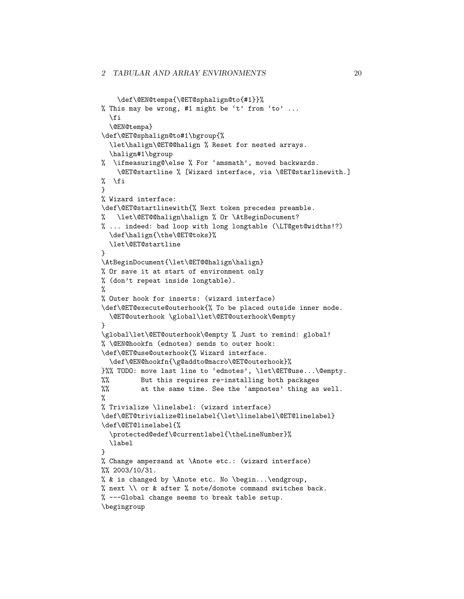```
\def\@EN@tempa{\@ET@sphalign@to{#1}}%
% This may be wrong, #1 might be 't' from 'to' ...
  \fi
  \@EN@tempa}
\def\@ET@sphalign@to#1\bgroup{%
  \let\halign\@ET@@halign % Reset for nested arrays.
  \halign#1\bgroup
% \ifmeasuring@\else % For 'amsmath', moved backwards.
   \@ET@startline % [Wizard interface, via \@ET@starlinewith.]
% \fi
}
% Wizard interface:
\def\@ET@startlinewith{% Next token precedes preamble.
  % \let\@ET@@halign\halign % Or \AtBeginDocument?
% ... indeed: bad loop with long longtable (\LT@get@widths!?)
  \def\halign{\the\@ET@toks}%
  \let\@ET@startline
}
\AtBeginDocument{\let\@ET@@halign\halign}
% Or save it at start of environment only
% (don't repeat inside longtable).
%
% Outer hook for inserts: (wizard interface)
\def\@ET@execute@outerhook{% To be placed outside inner mode.
  \@ET@outerhook \global\let\@ET@outerhook\@empty
}
\global\let\@ET@outerhook\@empty % Just to remind: global!
% \@EN@hookfn (ednotes) sends to outer hook:
\def\@ET@use@outerhook{% Wizard interface.
  \def\@EN@hookfn{\g@addto@macro\@ET@outerhook}%
}%% TODO: move last line to 'ednotes', \let\@ET@use...\@empty.
%% But this requires re-installing both packages
%% at the same time. See the 'ampnotes' thing as well.
%
% Trivialize \linelabel: (wizard interface)
\def\@ET@trivialize@linelabel{\let\linelabel\@ET@linelabel}
\def\@ET@linelabel{%
  \protected@edef\@currentlabel{\theLineNumber}%
  \label
}
% Change ampersand at \Anote etc.: (wizard interface)
%% 2003/10/31.
% & is changed by \Anote etc. No \begin...\endgroup,
% next \setminus or & after % note/donote command switches back.
% ---Global change seems to break table setup.
\begingroup
```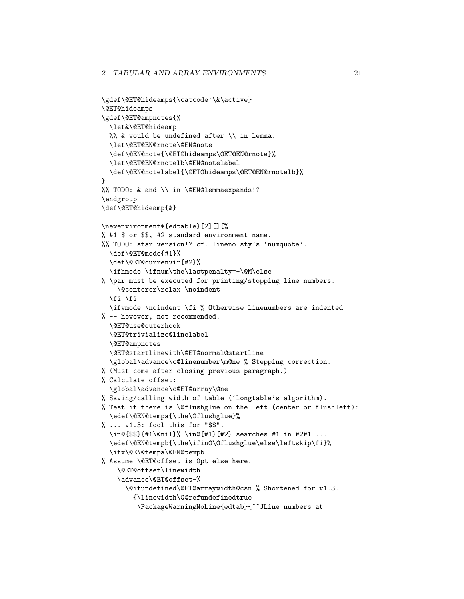```
\gdef\@ET@hideamps{\catcode'\&\active}
\@ET@hideamps
\gdef\@ET@ampnotes{%
  \let&\@ET@hideamp
 %% & would be undefined after \setminus in lemma.
  \let\@ET@EN@rnote\@EN@note
  \def\@EN@note{\@ET@hideamps\@ET@EN@rnote}%
  \let\@ET@EN@rnotelb\@EN@notelabel
  \def\@EN@notelabel{\@ET@hideamps\@ET@EN@rnotelb}%
}
%% TODO: & and \\ in \@EN@lemmaexpands!?
\endgroup
\def\@ET@hideamp{&}
\newenvironment*{edtable}[2][]{%
% #1 $ or $$, #2 standard environment name.
%% TODO: star version!? cf. lineno.sty's 'numquote'.
  \def\@ET@mode{#1}%
  \def\@ET@currenvir{#2}%
  \ifhmode \ifnum\the\lastpenalty=-\@M\else
% \par must be executed for printing/stopping line numbers:
    \@centercr\relax \noindent
  \fi \fi
  \ifvmode \noindent \fi % Otherwise linenumbers are indented
% -- however, not recommended.
  \@ET@use@outerhook
  \@ET@trivialize@linelabel
  \@ET@ampnotes
  \@ET@startlinewith\@ET@normal@startline
  \global\advance\c@linenumber\m@ne % Stepping correction.
% (Must come after closing previous paragraph.)
% Calculate offset:
  \global\advance\c@ET@array\@ne
% Saving/calling width of table ('longtable's algorithm).
% Test if there is \@flushglue on the left (center or flushleft):
  \edef\@EN@tempa{\the\@flushglue}%
% ... v1.3: fool this for "$$".
  \in@{$$}{#1\@nil}% \in@{#1}{#2} searches #1 in #2#1 ...
  \edef\@EN@tempb{\the\ifin@\@flushglue\else\leftskip\fi}%
  \ifx\@EN@tempa\@EN@tempb
% Assume \@ET@offset is 0pt else here.
    \@ET@offset\linewidth
    \advance\@ET@offset-%
      \@ifundefined\@ET@arraywidth@csn % Shortened for v1.3.
        {\linewidth\G@refundefinedtrue
         \PackageWarningNoLine{edtab}{^^JLine numbers at
```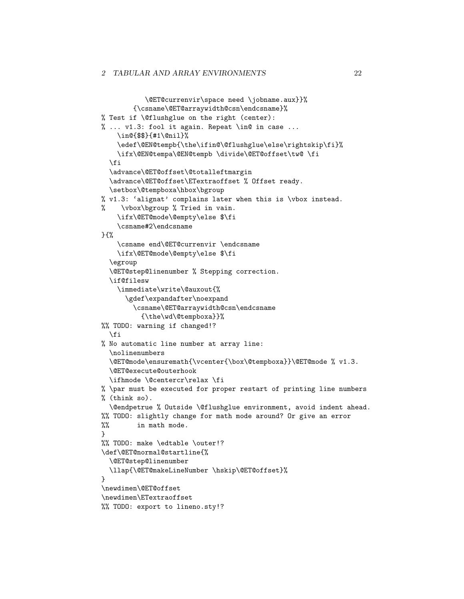```
\@ET@currenvir\space need \jobname.aux}}%
        {\csname\@ET@arraywidth@csn\endcsname}%
% Test if \@flushglue on the right (center):
% ... v1.3: fool it again. Repeat \in@ in case ...
    \in@{$$}{#1\@nil}%
    \edef\@EN@tempb{\the\ifin@\@flushglue\else\rightskip\fi}%
    \ifx\@EN@tempa\@EN@tempb \divide\@ET@offset\tw@ \fi
  \fi
  \advance\@ET@offset\@totalleftmargin
  \advance\@ET@offset\ETextraoffset % Offset ready.
  \setbox\@tempboxa\hbox\bgroup
% v1.3: 'alignat' complains later when this is \vbox instead.
% \vbox\bgroup % Tried in vain.
   \ifx\@ET@mode\@empty\else $\fi
    \csname#2\endcsname
} \frac{1}{2}\csname end\@ET@currenvir \endcsname
   \ifx\@ET@mode\@empty\else $\fi
  \egroup
  \@ET@step@linenumber % Stepping correction.
  \if@filesw
    \immediate\write\@auxout{%
      \gdef\expandafter\noexpand
        \csname\@ET@arraywidth@csn\endcsname
          {\the\wd\@tempboxa}}%
%% TODO: warning if changed!?
  \fi
% No automatic line number at array line:
  \nolinenumbers
  \@ET@mode\ensuremath{\vcenter{\box\@tempboxa}}\@ET@mode % v1.3.
  \@ET@execute@outerhook
  \ifhmode \@centercr\relax \fi
% \par must be executed for proper restart of printing line numbers
% (think so).
 \@endpetrue % Outside \@flushglue environment, avoid indent ahead.
%% TODO: slightly change for math mode around? Or give an error
%% in math mode.
}
%% TODO: make \edtable \outer!?
\def\@ET@normal@startline{%
 \@ET@step@linenumber
  \llap{\@ET@makeLineNumber \hskip\@ET@offset}%
}
\newdimen\@ET@offset
\newdimen\ETextraoffset
%% TODO: export to lineno.sty!?
```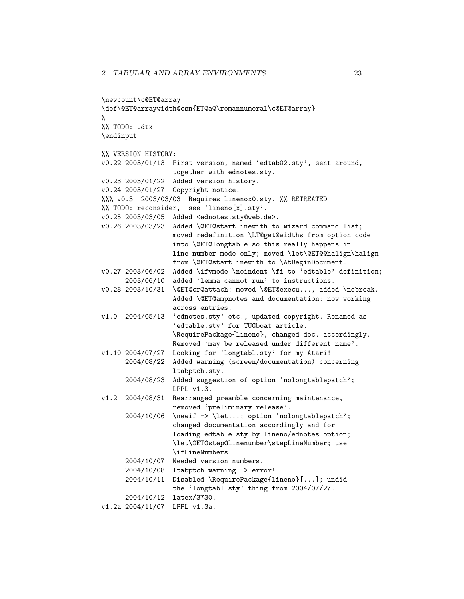```
\newcount\c@ET@array
\def\@ET@arraywidth@csn{ET@a@\romannumeral\c@ET@array}
%
%% TODO: .dtx
\endinput
%% VERSION HISTORY:
v0.22 2003/01/13 First version, named 'edtab02.sty', sent around,
                 together with ednotes.sty.
v0.23 2003/01/22 Added version history.
v0.24 2003/01/27 Copyright notice.
%%% v0.3 2003/03/03 Requires linenox0.sty. %% RETREATED
%% TODO: reconsider, see 'lineno[x].sty'.
v0.25 2003/03/05 Added <ednotes.sty@web.de>.
v0.26 2003/03/23 Added \@ET@startlinewith to wizard command list;
                 moved redefinition \LT@get@widths from option code
                 into \@ET@longtable so this really happens in
                 line number mode only; moved \let\@ET@@halign\halign
                 from \@ET@startlinewith to \AtBeginDocument.
v0.27 2003/06/02 Added \ifvmode \noindent \fi to 'edtable' definition;
      2003/06/10 added 'lemma cannot run' to instructions.
v0.28 2003/10/31 \@ET@cr@attach: moved \@ET@execu..., added \nobreak.
                 Added \@ET@ampnotes and documentation: now working
                 across entries.
v1.0 2004/05/13 'ednotes.sty' etc., updated copyright. Renamed as
                  'edtable.sty' for TUGboat article.
                 \RequirePackage{lineno}, changed doc. accordingly.
                 Removed 'may be released under different name'.
v1.10 2004/07/27 Looking for 'longtabl.sty' for my Atari!
      2004/08/22 Added warning (screen/documentation) concerning
                 ltabptch.sty.
      2004/08/23 Added suggestion of option 'nolongtablepatch';
                 LPPL v1.3.
v1.2 2004/08/31 Rearranged preamble concerning maintenance,
                 removed 'preliminary release'.
      2004/10/06 \newif -> \let...; option 'nolongtablepatch';
                 changed documentation accordingly and for
                 loading edtable.sty by lineno/ednotes option;
                 \let\@ET@step@linenumber\stepLineNumber; use
                 \ifLineNumbers.
      2004/10/07 Needed version numbers.
      2004/10/08 ltabptch warning -> error!
      2004/10/11 Disabled \RequirePackage{lineno}[...]; undid
                 the 'longtabl.sty' thing from 2004/07/27.
      2004/10/12 latex/3730.
v1.2a 2004/11/07 LPPL v1.3a.
```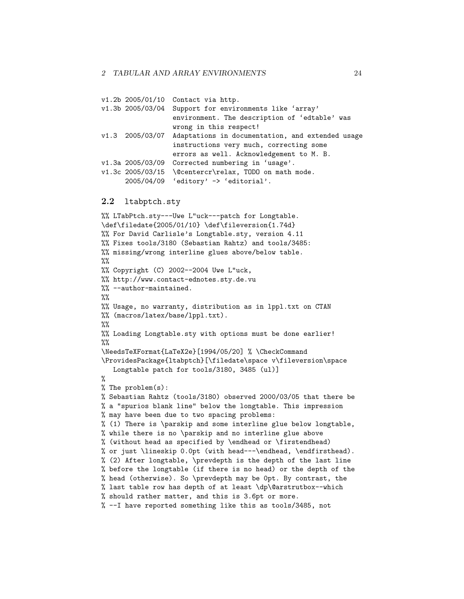| v1.2b 2005/01/10 | Contact via http.                                     |
|------------------|-------------------------------------------------------|
| v1.3b 2005/03/04 | Support for environments like 'array'                 |
|                  | environment. The description of 'edtable' was         |
|                  | wrong in this respect!                                |
| v1.3 2005/03/07  | Adaptations in documentation, and extended usage      |
|                  | instructions very much, correcting some               |
|                  | errors as well. Acknowledgement to M. B.              |
| v1.3a 2005/03/09 | Corrected numbering in 'usage'.                       |
|                  | v1.3c 2005/03/15 \@centercr\relax, TODO on math mode. |
| 2005/04/09       | 'editory' $\rightarrow$ 'editorial'.                  |
|                  |                                                       |

#### <span id="page-23-0"></span>2.2 ltabptch.sty

```
%% LTabPtch.sty---Uwe L"uck---patch for Longtable.
\def\filedate{2005/01/10} \def\fileversion{1.74d}
%% For David Carlisle's Longtable.sty, version 4.11
%% Fixes tools/3180 (Sebastian Rahtz) and tools/3485:
%% missing/wrong interline glues above/below table.
\%%% Copyright (C) 2002--2004 Uwe L"uck,
%% http://www.contact-ednotes.sty.de.vu
%% --author-maintained.
\frac{9}{2}%% Usage, no warranty, distribution as in lppl.txt on CTAN
%% (macros/latex/base/lppl.txt).
\frac{2}{3}%% Loading Longtable.sty with options must be done earlier!
\frac{9}{2}\NeedsTeXFormat{LaTeX2e}[1994/05/20] % \CheckCommand
\ProvidesPackage{ltabptch}[\filedate\space v\fileversion\space
   Longtable patch for tools/3180, 3485 (ul)]
%
% The problem(s):
% Sebastian Rahtz (tools/3180) observed 2000/03/05 that there be
% a "spurios blank line" below the longtable. This impression
% may have been due to two spacing problems:
% (1) There is \parskip and some interline glue below longtable,
% while there is no \parskip and no interline glue above
% (without head as specified by \endhead or \firstendhead)
% or just \lineskip 0.0pt (with head---\endhead, \endfirsthead).
% (2) After longtable, \prevdepth is the depth of the last line
% before the longtable (if there is no head) or the depth of the
% head (otherwise). So \prevdepth may be 0pt. By contrast, the
% last table row has depth of at least \dp\@arstrutbox--which
% should rather matter, and this is 3.6pt or more.
% --I have reported something like this as tools/3485, not
```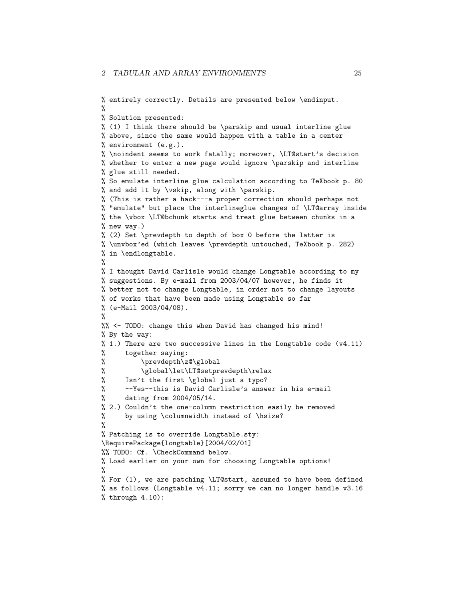```
% entirely correctly. Details are presented below \endinput.
%
% Solution presented:
% (1) I think there should be \parskip and usual interline glue
% above, since the same would happen with a table in a center
% environment (e.g.).
% \noindent seems to work fatally; moreover, \LT@start's decision
% whether to enter a new page would ignore \parskip and interline
% glue still needed.
% So emulate interline glue calculation according to TeXbook p. 80
% and add it by \vskip, along with \parskip.
% (This is rather a hack---a proper correction should perhaps not
% "emulate" but place the interlineglue changes of \LT@array inside
% the \vbox \LT@bchunk starts and treat glue between chunks in a
% new way.)
% (2) Set \prevdepth to depth of box 0 before the latter is
% \unvbox'ed (which leaves \prevdepth untouched, TeXbook p. 282)
% in \endlongtable.
%
% I thought David Carlisle would change Longtable according to my
% suggestions. By e-mail from 2003/04/07 however, he finds it
% better not to change Longtable, in order not to change layouts
% of works that have been made using Longtable so far
% (e-Mail 2003/04/08).
%
%% <- TODO: change this when David has changed his mind!
% By the way:
% 1.) There are two successive lines in the Longtable code (v4.11)% together saying:
% \prevdepth\z@\global
% \global\let\LT@setprevdepth\relax
% Isn't the first \global just a typo?
% --Yes--this is David Carlisle's answer in his e-mail
% dating from 2004/05/14.
% 2.) Couldn't the one-column restriction easily be removed
% by using \columnwidth instead of \hsize?
%
% Patching is to override Longtable.sty:
\RequirePackage{longtable}[2004/02/01]
%% TODO: Cf. \CheckCommand below.
% Load earlier on your own for choosing Longtable options!
%
% For (1), we are patching \LT@start, assumed to have been defined
% as follows (Longtable v4.11; sorry we can no longer handle v3.16
% through 4.10:
```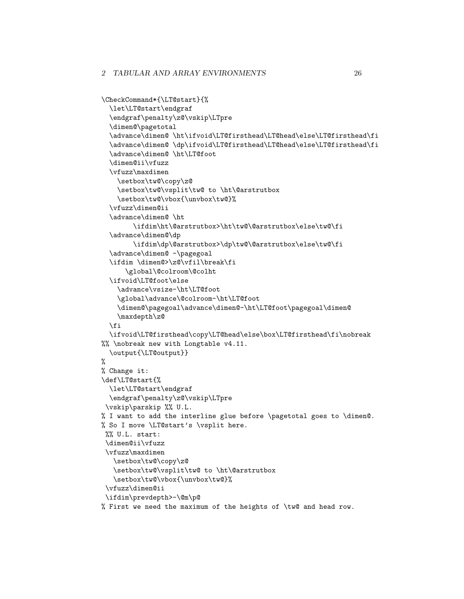```
\CheckCommand*{\LT@start}{%
  \let\LT@start\endgraf
  \endgraf\penalty\z@\vskip\LTpre
  \dimen@\pagetotal
  \advance\dimen@ \ht\ifvoid\LT@firsthead\LT@head\else\LT@firsthead\fi
  \advance\dimen@ \dp\ifvoid\LT@firsthead\LT@head\else\LT@firsthead\fi
  \advance\dimen@ \ht\LT@foot
  \dimen@ii\vfuzz
  \vfuzz\maxdimen
    \setbox\tw@\copy\z@
    \setbox\tw@\vsplit\tw@ to \ht\@arstrutbox
    \setbox\tw@\vbox{\unvbox\tw@}%
  \vfuzz\dimen@ii
  \advance\dimen@ \ht
        \ifdim\ht\@arstrutbox>\ht\tw@\@arstrutbox\else\tw@\fi
  \advance\dimen@\dp
        \ifdim\dp\@arstrutbox>\dp\tw@\@arstrutbox\else\tw@\fi
  \advance\dimen@ -\pagegoal
  \ifdim \dimen@>\z@\vfil\break\fi
      \global\@colroom\@colht
  \ifvoid\LT@foot\else
    \advance\vsize-\ht\LT@foot
    \global\advance\@colroom-\ht\LT@foot
    \dimen@\pagegoal\advance\dimen@-\ht\LT@foot\pagegoal\dimen@
    \maxdepth\z@
  \fi
  \ifvoid\LT@firsthead\copy\LT@head\else\box\LT@firsthead\fi\nobreak
%% \nobreak new with Longtable v4.11.
  \output{\LT@output}}
%
% Change it:
\def\LT@start{%
 \let\LT@start\endgraf
  \endgraf\penalty\z@\vskip\LTpre
 \vskip\parskip %% U.L.
% I want to add the interline glue before \pagetotal goes to \dimen@.
% So I move \LT@start's \vsplit here.
%% U.L. start:
 \dimen@ii\vfuzz
 \vfuzz\maxdimen
   \setbox\tw@\copy\z@
   \setbox\tw@\vsplit\tw@ to \ht\@arstrutbox
   \setbox\tw@\vbox{\unvbox\tw@}%
 \vfuzz\dimen@ii
 \ifdim\prevdepth>-\@m\p@
% First we need the maximum of the heights of \tw@ and head row.
```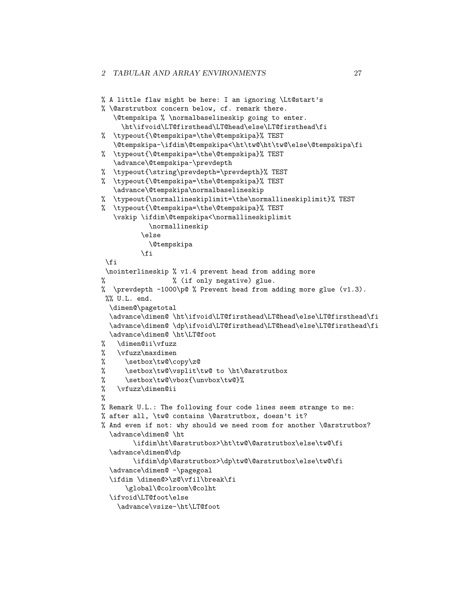```
% A little flaw might be here: I am ignoring \Lt@start's
% \@arstrutbox concern below, cf. remark there.
  \@tempskipa % \normalbaselineskip going to enter.
    \ht\ifvoid\LT@firsthead\LT@head\else\LT@firsthead\fi
% \typeout{\@tempskipa=\the\@tempskipa}% TEST
  \@tempskipa-\ifdim\@tempskipa<\ht\tw@\ht\tw@\else\@tempskipa\fi
% \typeout{\@tempskipa=\the\@tempskipa}% TEST
  \advance\@tempskipa-\prevdepth
% \typeout{\string\prevdepth=\prevdepth}% TEST
% \typeout{\@tempskipa=\the\@tempskipa}% TEST
  \advance\@tempskipa\normalbaselineskip
% \typeout{\normallineskiplimit=\the\normallineskiplimit}% TEST
% \typeout{\@tempskipa=\the\@tempskipa}% TEST
  \vskip \ifdim\@tempskipa<\normallineskiplimit
           \normallineskip
         \else
            \@tempskipa
         \fi
 \fi
 \nointerlineskip % v1.4 prevent head from adding more
% % (if only negative) glue.
% \prevdepth -1000\p@ % Prevent head from adding more glue (v1.3).
%% U.L. end.
 \dimen@\pagetotal
 \advance\dimen@ \ht\ifvoid\LT@firsthead\LT@head\else\LT@firsthead\fi
 \advance\dimen@ \dp\ifvoid\LT@firsthead\LT@head\else\LT@firsthead\fi
 \advance\dimen@ \ht\LT@foot
% \dimen@ii\vfuzz
% \vfuzz\maxdimen
% \setbox\tw@\copy\z@
% \setbox\tw@\vsplit\tw@ to \ht\@arstrutbox
% \setbox\tw@\vbox{\unvbox\tw@}%
% \vfuzz\dimen@ii
%
% Remark U.L.: The following four code lines seem strange to me:
% after all, \tw@ contains \@arstrutbox, doesn't it?
% And even if not: why should we need room for another \@arstrutbox?
  \advance\dimen@ \ht
        \ifdim\ht\@arstrutbox>\ht\tw@\@arstrutbox\else\tw@\fi
 \advance\dimen@\dp
        \ifdim\dp\@arstrutbox>\dp\tw@\@arstrutbox\else\tw@\fi
  \advance\dimen@ -\pagegoal
  \ifdim \dimen@>\z@\vfil\break\fi
      \global\@colroom\@colht
  \ifvoid\LT@foot\else
    \advance\vsize-\ht\LT@foot
```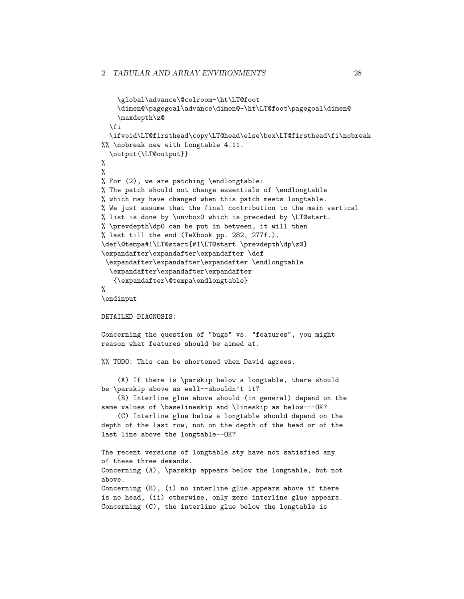```
\global\advance\@colroom-\ht\LT@foot
    \dimen@\pagegoal\advance\dimen@-\ht\LT@foot\pagegoal\dimen@
    \maxdepth\z@
  \fi
  \ifvoid\LT@firsthead\copy\LT@head\else\box\LT@firsthead\fi\nobreak
%% \nobreak new with Longtable 4.11.
  \output{\LT@output}}
\gamma%
% For (2), we are patching \endlongtable:
% The patch should not change essentials of \endlongtable
% which may have changed when this patch meets longtable.
% We just assume that the final contribution to the main vertical
% list is done by \unvbox0 which is preceded by \LT@start.
% \prevdepth\dp0 can be put in between, it will then
% last till the end (TeXbook pp. 282, 277f.).
\def\@tempa#1\LT@start{#1\LT@start \prevdepth\dp\z@}
\expandafter\expandafter\expandafter \def
\expandafter\expandafter\expandafter \endlongtable
  \expandafter\expandafter\expandafter
   {\expandafter\@tempa\endlongtable}
%
\endinput
DETAILED DIAGNOSIS:
Concerning the question of "bugs" vs. "features", you might
reason what features should be aimed at.
%% TODO: This can be shortened when David agrees.
    (A) If there is \parskip below a longtable, there should
be \parskip above as well--shouldn't it?
    (B) Interline glue above should (in general) depend on the
same values of \baselineskip and \lineskip as below---OK?
    (C) Interline glue below a longtable should depend on the
depth of the last row, not on the depth of the head or of the
last line above the longtable--OK?
The recent versions of longtable.sty have not satisfied any
of these three demands.
Concerning (A), \parskip appears below the longtable, but not
above.
Concerning (B), (i) no interline glue appears above if there
is no head, (ii) otherwise, only zero interline glue appears.
Concerning (C), the interline glue below the longtable is
```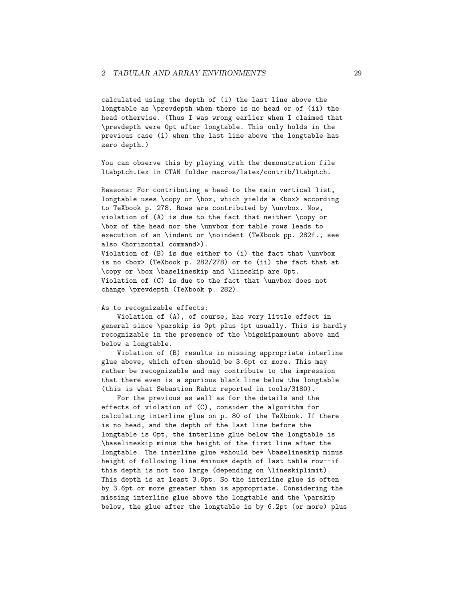calculated using the depth of (i) the last line above the longtable as \prevdepth when there is no head or of (ii) the head otherwise. (Thus I was wrong earlier when I claimed that \prevdepth were 0pt after longtable. This only holds in the previous case (i) when the last line above the longtable has zero depth.)

You can observe this by playing with the demonstration file ltabptch.tex in CTAN folder macros/latex/contrib/ltabptch.

Reasons: For contributing a head to the main vertical list, longtable uses \copy or \box, which yields a <br/> <br/> <br/>according to TeXbook p. 278. Rows are contributed by \unvbox. Now, violation of (A) is due to the fact that neither \copy or \box of the head nor the \unvbox for table rows leads to execution of an \indent or \noindent (TeXbook pp. 282f., see also <horizontal command>).

Violation of (B) is due either to (i) the fact that \unvbox is no <br/>box> (TeXbook p. 282/278) or to (ii) the fact that at \copy or \box \baselineskip and \lineskip are 0pt. Violation of (C) is due to the fact that \unvbox does not change \prevdepth (TeXbook p. 282).

#### As to recognizable effects:

Violation of (A), of course, has very little effect in general since \parskip is 0pt plus 1pt usually. This is hardly recognizable in the presence of the \bigskipamount above and below a longtable.

Violation of (B) results in missing appropriate interline glue above, which often should be 3.6pt or more. This may rather be recognizable and may contribute to the impression that there even is a spurious blank line below the longtable (this is what Sebastion Rahtz reported in tools/3180).

For the previous as well as for the details and the effects of violation of (C), consider the algorithm for calculating interline glue on p. 80 of the TeXbook. If there is no head, and the depth of the last line before the longtable is 0pt, the interline glue below the longtable is \baselineskip minus the height of the first line after the longtable. The interline glue \*should be\* \baselineskip minus height of following line \*minus\* depth of last table row--if this depth is not too large (depending on \lineskiplimit). This depth is at least 3.6pt. So the interline glue is often by 3.6pt or more greater than is appropriate. Considering the missing interline glue above the longtable and the \parskip below, the glue after the longtable is by 6.2pt (or more) plus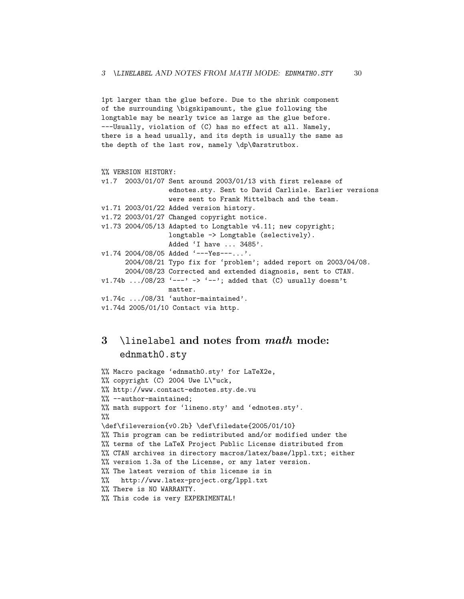1pt larger than the glue before. Due to the shrink component of the surrounding \bigskipamount, the glue following the longtable may be nearly twice as large as the glue before. ---Usually, violation of (C) has no effect at all. Namely, there is a head usually, and its depth is usually the same as the depth of the last row, namely \dp\@arstrutbox.

```
%% VERSION HISTORY:
```

```
v1.7 2003/01/07 Sent around 2003/01/13 with first release of
                 ednotes.sty. Sent to David Carlisle. Earlier versions
                 were sent to Frank Mittelbach and the team.
v1.71 2003/01/22 Added version history.
v1.72 2003/01/27 Changed copyright notice.
v1.73 2004/05/13 Adapted to Longtable v4.11; new copyright;
                 longtable -> Longtable (selectively).
                 Added 'I have ... 3485'.
v1.74 2004/08/05 Added '---Yes---...'.
      2004/08/21 Typo fix for 'problem'; added report on 2003/04/08.
      2004/08/23 Corrected and extended diagnosis, sent to CTAN.
v1.74b .../08/23 '---' -> '--'; added that (C) usually doesn't
                 matter.
v1.74c .../08/31 'author-maintained'.
v1.74d 2005/01/10 Contact via http.
```
# <span id="page-29-0"></span>3 \linelabel and notes from math mode: ednmath0.sty

```
%% Macro package 'ednmath0.sty' for LaTeX2e,
%% copyright (C) 2004 Uwe L\"uck,
%% http://www.contact-ednotes.sty.de.vu
%% --author-maintained;
%% math support for 'lineno.sty' and 'ednotes.sty'.
%%
\def\fileversion{v0.2b} \def\filedate{2005/01/10}
%% This program can be redistributed and/or modified under the
%% terms of the LaTeX Project Public License distributed from
%% CTAN archives in directory macros/latex/base/lppl.txt; either
%% version 1.3a of the License, or any later version.
%% The latest version of this license is in
%% http://www.latex-project.org/lppl.txt
%% There is NO WARRANTY.
%% This code is very EXPERIMENTAL!
```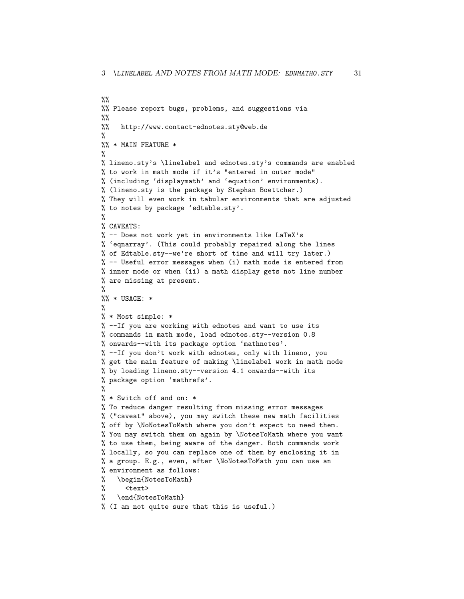```
%%
%% Please report bugs, problems, and suggestions via
\frac{9}{2}%% http://www.contact-ednotes.sty@web.de
%
%% * MAIN FEATURE *
%
% lineno.sty's \linelabel and ednotes.sty's commands are enabled
% to work in math mode if it's "entered in outer mode"
% (including 'displaymath' and 'equation' environments).
% (lineno.sty is the package by Stephan Boettcher.)
% They will even work in tabular environments that are adjusted
% to notes by package 'edtable.sty'.
%
% CAVEATS:
% -- Does not work yet in environments like LaTeX's
% 'eqnarray'. (This could probably repaired along the lines
% of Edtable.sty--we're short of time and will try later.)
% -- Useful error messages when (i) math mode is entered from
% inner mode or when (ii) a math display gets not line number
% are missing at present.
%
\frac{9}{6} * USAGE: *
%
% * Most simple: *
% --If you are working with ednotes and want to use its
% commands in math mode, load ednotes.sty--version 0.8
% onwards--with its package option 'mathnotes'.
% --If you don't work with ednotes, only with lineno, you
% get the main feature of making \linelabel work in math mode
% by loading lineno.sty--version 4.1 onwards--with its
% package option 'mathrefs'.
%
% * Switch off and on: *
% To reduce danger resulting from missing error messages
% ("caveat" above), you may switch these new math facilities
% off by \NoNotesToMath where you don't expect to need them.
% You may switch them on again by \NotesToMath where you want
% to use them, being aware of the danger. Both commands work
% locally, so you can replace one of them by enclosing it in
% a group. E.g., even, after \NoNotesToMath you can use an
% environment as follows:
% \begin{NotesToMath}
% <text>
% \end{NotesToMath}
% (I am not quite sure that this is useful.)
```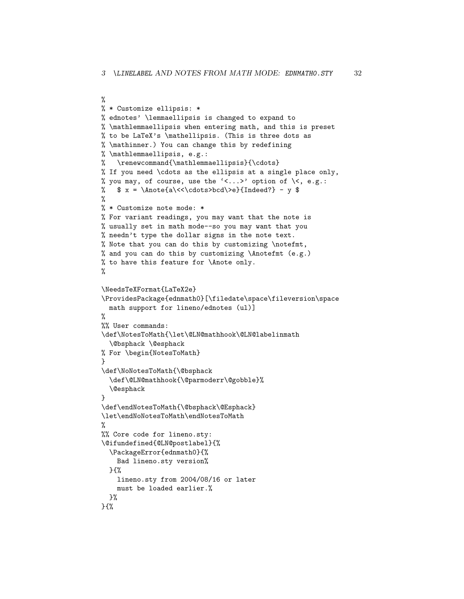```
%
% * Customize ellipsis: *
% ednotes' \lemmaellipsis is changed to expand to
% \mathlemmaellipsis when entering math, and this is preset
% to be LaTeX's \mathellipsis. (This is three dots as
% \mathinner.) You can change this by redefining
% \mathlemmaellipsis, e.g.:
% \renewcommand{\mathlemmaellipsis}{\cdots}
% If you need \cdots as the ellipsis at a single place only,
% you may, of course, use the \langle\langle\ldots\rangle\rangle option of \langle\langle\ ,\ e.g.\ \rangle% \quad x = \Lambda \lt \lt \cdots > \ldots \ \those falls \dots \dots \cdots \cdots \edd{\dots \edd{\dots \edd{\dots \edd{\dots \edd{\dots \edd{\dots \edd{\dots \edd{\dots \edd{\dots \edd{\dots \edd{\dots \edd{\dots \edd{\dots \edd{\dots \edd
%
% * Customize note mode: *
% For variant readings, you may want that the note is
% usually set in math mode--so you may want that you
% needn't type the dollar signs in the note text.
% Note that you can do this by customizing \notefmt,
% and you can do this by customizing \Anotefmt (e.g.)
% to have this feature for \Anote only.
%
\NeedsTeXFormat{LaTeX2e}
\ProvidesPackage{ednmath0}[\filedate\space\fileversion\space
  math support for lineno/ednotes (ul)]
%
%% User commands:
\def\NotesToMath{\let\@LN@mathhook\@LN@labelinmath
  \@bsphack \@esphack
% For \begin{NotesToMath}
}
\def\NoNotesToMath{\@bsphack
  \def\@LN@mathhook{\@parmoderr\@gobble}%
  \@esphack
}
\def\endNotesToMath{\@bsphack\@Esphack}
\let\endNoNotesToMath\endNotesToMath
%
%% Core code for lineno.sty:
\@ifundefined{@LN@postlabel}{%
  \PackageError{ednmath0}{%
    Bad lineno.sty version%
  }{%
    lineno.sty from 2004/08/16 or later
    must be loaded earlier.%
  }%
}{%
```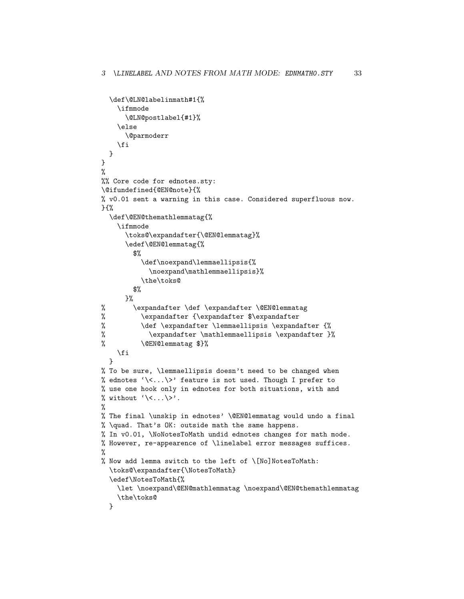```
\def\@LN@labelinmath#1{%
    \ifmmode
      \@LN@postlabel{#1}%
    \else
      \@parmoderr
    \fi
 }
}
%
%% Core code for ednotes.sty:
\@ifundefined{@EN@note}{%
% v0.01 sent a warning in this case. Considered superfluous now.
}{%
  \def\@EN@themathlemmatag{%
    \ifmmode
      \toks@\expandafter{\@EN@lemmatag}%
      \edef\@EN@lemmatag{%
        $%
          \def\noexpand\lemmaellipsis{%
            \noexpand\mathlemmaellipsis}%
          \the\toks@
        $%
      }%
% \expandafter \def \expandafter \@EN@lemmatag
% \expandafter {\expandafter $\expandafter
\% \def \expandafter \lemmaellipsis \expandafter {\%% \expandafter \mathlemmaellipsis \expandafter }%
% \@EN@lemmatag $}%
    \fi
 }
% To be sure, \lemmaellipsis doesn't need to be changed when
% ednotes \langle \langle \cdot, \cdot, \cdot \rangle \rangle feature is not used. Though I prefer to
% use one hook only in ednotes for both situations, with and
% without \langle \langle \cdot, \cdot, \cdot \rangle \rangle.
%
% The final \unskip in ednotes' \@EN@lemmatag would undo a final
% \quad. That's OK: outside math the same happens.
% In v0.01, \NoNotesToMath undid ednotes changes for math mode.
% However, re-appearence of \linelabel error messages suffices.
%
% Now add lemma switch to the left of \[No]NotesToMath:
  \toks@\expandafter{\NotesToMath}
  \edef\NotesToMath{%
    \let \noexpand\@EN@mathlemmatag \noexpand\@EN@themathlemmatag
    \the\toks@
 }
```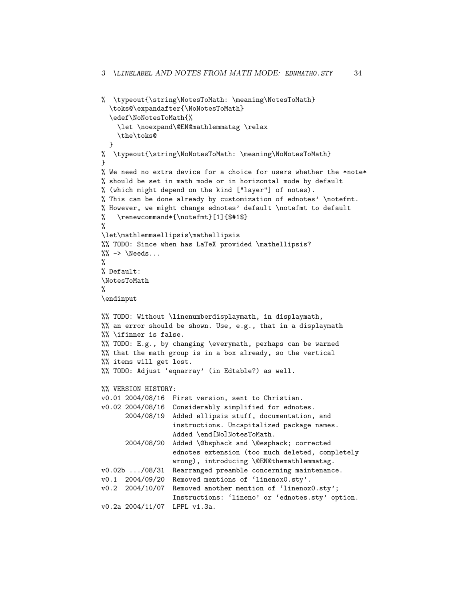```
% \typeout{\string\NotesToMath: \meaning\NotesToMath}
  \toks@\expandafter{\NoNotesToMath}
  \edef\NoNotesToMath{%
    \let \noexpand\@EN@mathlemmatag \relax
    \the\toks@
 }
% \typeout{\string\NoNotesToMath: \meaning\NoNotesToMath}
}
% We need no extra device for a choice for users whether the *note*
% should be set in math mode or in horizontal mode by default
% (which might depend on the kind ["layer"] of notes).
% This can be done already by customization of ednotes' \notefmt.
% However, we might change ednotes' default \notefmt to default
% \renewcommand*{\notefmt}[1]{$#1$}
%
\let\mathlemmaellipsis\mathellipsis
%% TODO: Since when has LaTeX provided \mathellipsis?
\% -\gt \ Needs...
%
% Default:
\NotesToMath
%
\endinput
%% TODO: Without \linenumberdisplaymath, in displaymath,
\frac{1}{2} an error should be shown. Use, e.g., that in a displaymath
%% \ifinner is false.
%% TODO: E.g., by changing \everymath, perhaps can be warned
%% that the math group is in a box already, so the vertical
%% items will get lost.
%% TODO: Adjust 'eqnarray' (in Edtable?) as well.
%% VERSION HISTORY:
v0.01 2004/08/16 First version, sent to Christian.
v0.02 2004/08/16 Considerably simplified for ednotes.
      2004/08/19 Added ellipsis stuff, documentation, and
                  instructions. Uncapitalized package names.
                  Added \end[No]NotesToMath.
      2004/08/20 Added \@bsphack and \@esphack; corrected
                  ednotes extension (too much deleted, completely
                  wrong), introducing \@EN@themathlemmatag.
v0.02b .../08/31 Rearranged preamble concerning maintenance.
v0.1 2004/09/20 Removed mentions of 'linenox0.sty'.
v0.2 2004/10/07 Removed another mention of 'linenox0.sty';
                  Instructions: 'lineno' or 'ednotes.sty' option.
v0.2a 2004/11/07 LPPL v1.3a.
```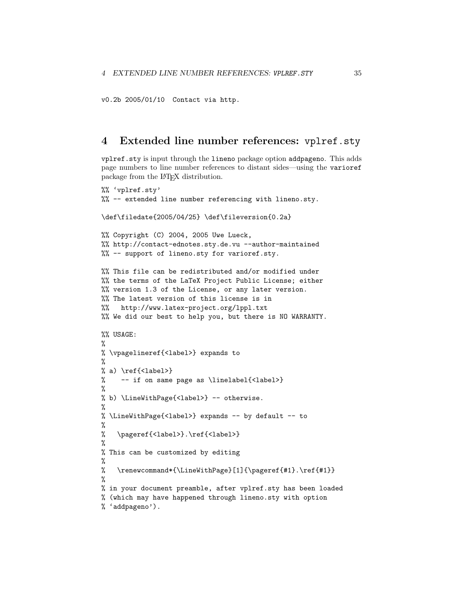```
v0.2b 2005/01/10 Contact via http.
```
# <span id="page-34-0"></span>4 Extended line number references: vplref.sty

vplref.sty is input through the lineno package option addpageno. This adds page numbers to line number references to distant sides—using the varioref package from the LATEX distribution.

```
%% 'vplref.sty'
%% -- extended line number referencing with lineno.sty.
\def\filedate{2005/04/25} \def\fileversion{0.2a}
%% Copyright (C) 2004, 2005 Uwe Lueck,
%% http://contact-ednotes.sty.de.vu --author-maintained
%% -- support of lineno.sty for varioref.sty.
%% This file can be redistributed and/or modified under
%% the terms of the LaTeX Project Public License; either
%% version 1.3 of the License, or any later version.
%% The latest version of this license is in
%% http://www.latex-project.org/lppl.txt
%% We did our best to help you, but there is NO WARRANTY.
%% USAGE:
%
% \vpagelineref{<label>} expands to
%
% a) \ref{<label>}
% -- if on same page as \linelabel{<label>}
%
% b) \LineWithPage{<label>} -- otherwise.
%
% \LineWithPage{<label>} expands -- by default -- to
%
% \pageref{<label>}.\ref{<label>}
%
% This can be customized by editing
%
% \renewcommand*{\LineWithPage}[1]{\pageref{#1}.\ref{#1}}
%
% in your document preamble, after vplref.sty has been loaded
% (which may have happened through lineno.sty with option
% 'addpageno').
```